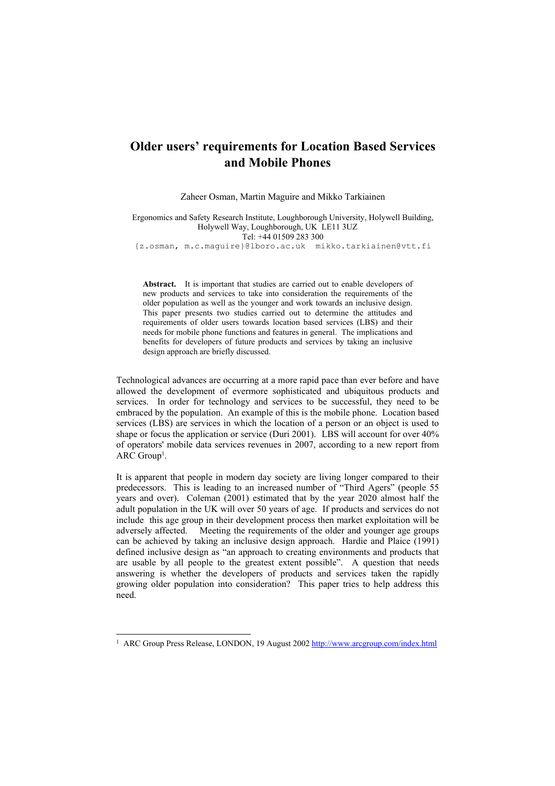# **Older users' requirements for Location Based Services and Mobile Phones**

Zaheer Osman, Martin Maguire and Mikko Tarkiainen

Ergonomics and Safety Research Institute, Loughborough University, Holywell Building, Holywell Way, Loughborough, UK LE11 3UZ Tel: +44 01509 283 300

{z.osman, m.c.maguire}@lboro.ac.uk mikko.tarkiainen@vtt.fi

**Abstract.** It is important that studies are carried out to enable developers of new products and services to take into consideration the requirements of the older population as well as the younger and work towards an inclusive design. This paper presents two studies carried out to determine the attitudes and requirements of older users towards location based services (LBS) and their needs for mobile phone functions and features in general. The implications and benefits for developers of future products and services by taking an inclusive design approach are briefly discussed.

Technological advances are occurring at a more rapid pace than ever before and have allowed the development of evermore sophisticated and ubiquitous products and services. In order for technology and services to be successful, they need to be embraced by the population. An example of this is the mobile phone. Location based services (LBS) are services in which the location of a person or an object is used to shape or focus the application or service (Duri 2001). LBS will account for over 40% of operators' mobile data services revenues in 2007, according to a new report from ARC Group<sup>1</sup>.

It is apparent that people in modern day society are living longer compared to their predecessors. This is leading to an increased number of "Third Agers" (people 55 years and over). Coleman (2001) estimated that by the year 2020 almost half the adult population in the UK will over 50 years of age. If products and services do not include this age group in their development process then market exploitation will be adversely affected. Meeting the requirements of the older and younger age groups can be achieved by taking an inclusive design approach. Hardie and Plaice (1991) defined inclusive design as "an approach to creating environments and products that are usable by all people to the greatest extent possible". A question that needs answering is whether the developers of products and services taken the rapidly growing older population into consideration? This paper tries to help address this need.

l

<span id="page-0-0"></span><sup>&</sup>lt;sup>1</sup> ARC Group Press Release, LONDON, 19 August 2002<http://www.arcgroup.com/index.html>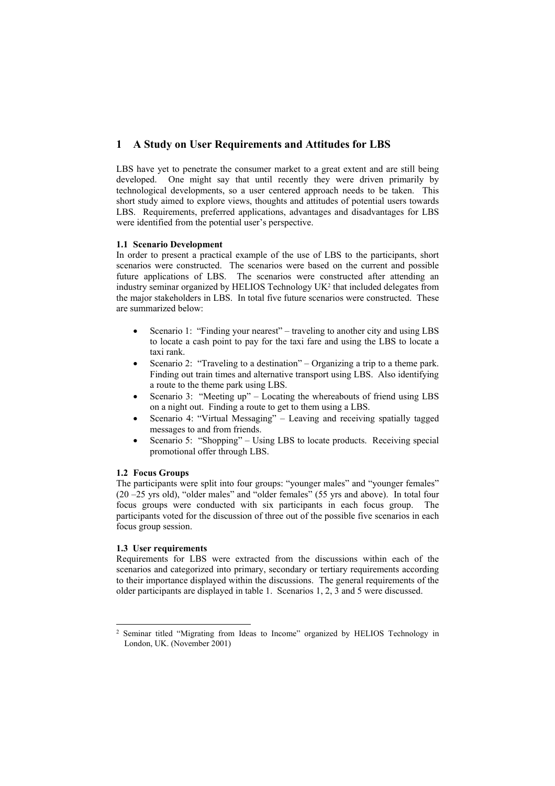# **1 A Study on User Requirements and Attitudes for LBS**

LBS have yet to penetrate the consumer market to a great extent and are still being developed. One might say that until recently they were driven primarily by technological developments, so a user centered approach needs to be taken. This short study aimed to explore views, thoughts and attitudes of potential users towards LBS. Requirements, preferred applications, advantages and disadvantages for LBS were identified from the potential user's perspective.

#### **1.1 Scenario Development**

In order to present a practical example of the use of LBS to the participants, short scenarios were constructed. The scenarios were based on the current and possible future applications of LBS. The scenarios were constructed after attending an industry seminar organized by HELIOS Technology U[K2](#page-1-0) that included delegates from the major stakeholders in LBS. In total five future scenarios were constructed. These are summarized below:

- Scenario 1: "Finding your nearest" traveling to another city and using LBS to locate a cash point to pay for the taxi fare and using the LBS to locate a taxi rank.
- Scenario 2: "Traveling to a destination" Organizing a trip to a theme park. Finding out train times and alternative transport using LBS. Also identifying a route to the theme park using LBS.
- Scenario 3: "Meeting up" Locating the whereabouts of friend using LBS on a night out. Finding a route to get to them using a LBS.
- Scenario 4: "Virtual Messaging" Leaving and receiving spatially tagged messages to and from friends.
- Scenario 5: "Shopping" Using LBS to locate products. Receiving special promotional offer through LBS.

#### **1.2 Focus Groups**

The participants were split into four groups: "younger males" and "younger females" (20 –25 yrs old), "older males" and "older females" (55 yrs and above). In total four focus groups were conducted with six participants in each focus group. The participants voted for the discussion of three out of the possible five scenarios in each focus group session.

## **1.3 User requirements**

l

Requirements for LBS were extracted from the discussions within each of the scenarios and categorized into primary, secondary or tertiary requirements according to their importance displayed within the discussions. The general requirements of the older participants are displayed in table 1. Scenarios 1, 2, 3 and 5 were discussed.

<span id="page-1-0"></span><sup>2</sup> Seminar titled "Migrating from Ideas to Income" organized by HELIOS Technology in London, UK. (November 2001)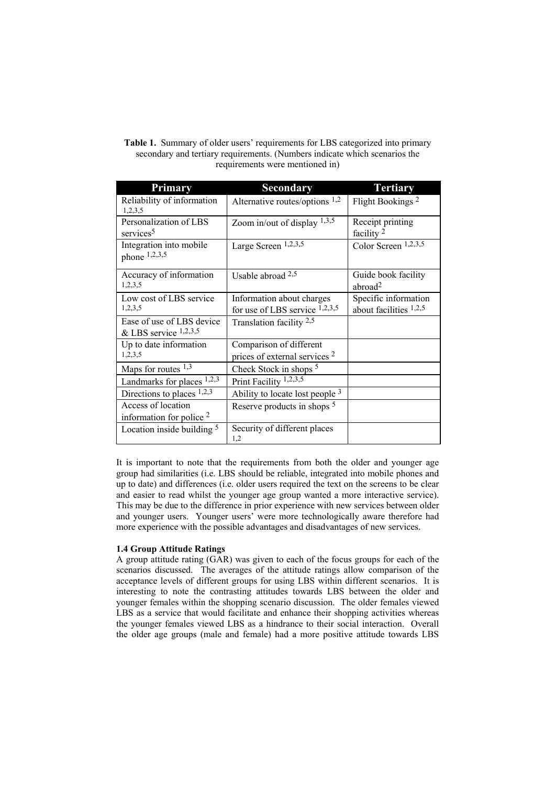| <b>Table 1.</b> Summary of older users' requirements for LBS categorized into primary |
|---------------------------------------------------------------------------------------|
| secondary and tertiary requirements. (Numbers indicate which scenarios the            |
| requirements were mentioned in                                                        |

| Primary                                              | <b>Secondary</b>                                                    | <b>Tertiary</b>                                  |
|------------------------------------------------------|---------------------------------------------------------------------|--------------------------------------------------|
| Reliability of information<br>1,2,3,5                | Alternative routes/options $1,2$                                    | Flight Bookings <sup>2</sup>                     |
| Personalization of LBS<br>services <sup>5</sup>      | Zoom in/out of display $1,3,5$                                      | Receipt printing<br>facility <sup>2</sup>        |
| Integration into mobile<br>phone 1,2,3,5             | Large Screen 1,2,3,5                                                | Color Screen 1,2,3,5                             |
| Accuracy of information<br>1,2,3,5                   | Usable abroad $2,5$                                                 | Guide book facility<br>abroad <sup>2</sup>       |
| Low cost of LBS service<br>1,2,3,5                   | Information about charges<br>for use of LBS service $1,2,3,5$       | Specific information<br>about facilities $1,2,5$ |
| Ease of use of LBS device<br>& LBS service $1,2,3,5$ | Translation facility $2,5$                                          |                                                  |
| Up to date information<br>1,2,3,5                    | Comparison of different<br>prices of external services <sup>2</sup> |                                                  |
| Maps for routes $1,3$                                | Check Stock in shops <sup>5</sup>                                   |                                                  |
| Landmarks for places $1,2,3$                         | Print Facility $1,2,3,5$                                            |                                                  |
| Directions to places $1,2,3$                         | Ability to locate lost people $3$                                   |                                                  |
| Access of location<br>information for police $2$     | Reserve products in shops <sup>5</sup>                              |                                                  |
| Location inside building $5$                         | Security of different places<br>1,2                                 |                                                  |

It is important to note that the requirements from both the older and younger age group had similarities (i.e. LBS should be reliable, integrated into mobile phones and up to date) and differences (i.e. older users required the text on the screens to be clear and easier to read whilst the younger age group wanted a more interactive service). This may be due to the difference in prior experience with new services between older and younger users. Younger users' were more technologically aware therefore had more experience with the possible advantages and disadvantages of new services.

#### **1.4 Group Attitude Ratings**

A group attitude rating (GAR) was given to each of the focus groups for each of the scenarios discussed. The averages of the attitude ratings allow comparison of the acceptance levels of different groups for using LBS within different scenarios. It is interesting to note the contrasting attitudes towards LBS between the older and younger females within the shopping scenario discussion. The older females viewed LBS as a service that would facilitate and enhance their shopping activities whereas the younger females viewed LBS as a hindrance to their social interaction. Overall the older age groups (male and female) had a more positive attitude towards LBS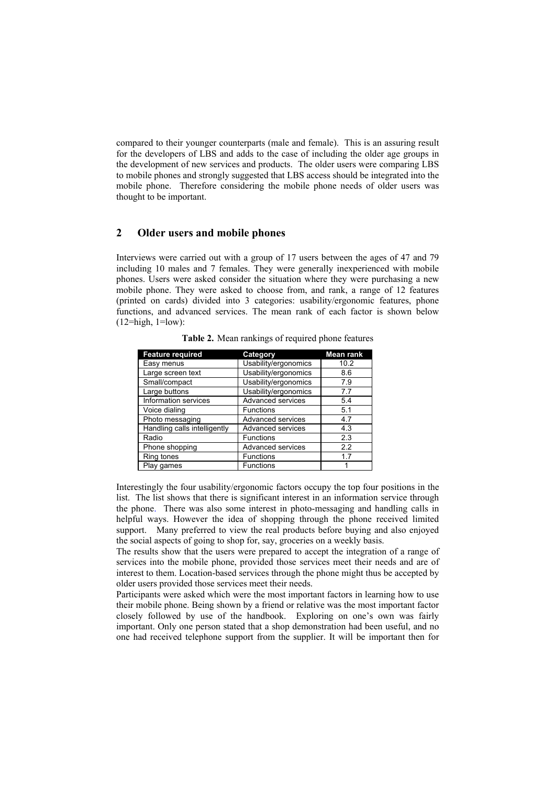compared to their younger counterparts (male and female). This is an assuring result for the developers of LBS and adds to the case of including the older age groups in the development of new services and products. The older users were comparing LBS to mobile phones and strongly suggested that LBS access should be integrated into the mobile phone. Therefore considering the mobile phone needs of older users was thought to be important.

# **2 Older users and mobile phones**

Interviews were carried out with a group of 17 users between the ages of 47 and 79 including 10 males and 7 females. They were generally inexperienced with mobile phones. Users were asked consider the situation where they were purchasing a new mobile phone. They were asked to choose from, and rank, a range of 12 features (printed on cards) divided into 3 categories: usability/ergonomic features, phone functions, and advanced services. The mean rank of each factor is shown below  $(12=high, 1=low)$ :

| <b>Feature required</b>      | Category             | <b>Mean rank</b> |
|------------------------------|----------------------|------------------|
| Easy menus                   | Usability/ergonomics | 10.2             |
| Large screen text            | Usability/ergonomics | 8.6              |
| Small/compact                | Usability/ergonomics | 7.9              |
| Large buttons                | Usability/ergonomics | 7.7              |
| Information services         | Advanced services    | 5.4              |
| Voice dialing                | <b>Functions</b>     | 5.1              |
| Photo messaging              | Advanced services    | 4.7              |
| Handling calls intelligently | Advanced services    | 4.3              |
| Radio                        | <b>Functions</b>     | 2.3              |
| Phone shopping               | Advanced services    | 2.2              |
| Ring tones                   | <b>Functions</b>     | 17               |
| Play games                   | <b>Functions</b>     |                  |

**Table 2.** Mean rankings of required phone features

Interestingly the four usability/ergonomic factors occupy the top four positions in the list. The list shows that there is significant interest in an information service through the phone. There was also some interest in photo-messaging and handling calls in helpful ways. However the idea of shopping through the phone received limited support. Many preferred to view the real products before buying and also enjoyed the social aspects of going to shop for, say, groceries on a weekly basis.

The results show that the users were prepared to accept the integration of a range of services into the mobile phone, provided those services meet their needs and are of interest to them. Location-based services through the phone might thus be accepted by older users provided those services meet their needs.

Participants were asked which were the most important factors in learning how to use their mobile phone. Being shown by a friend or relative was the most important factor closely followed by use of the handbook. Exploring on one's own was fairly important. Only one person stated that a shop demonstration had been useful, and no one had received telephone support from the supplier. It will be important then for